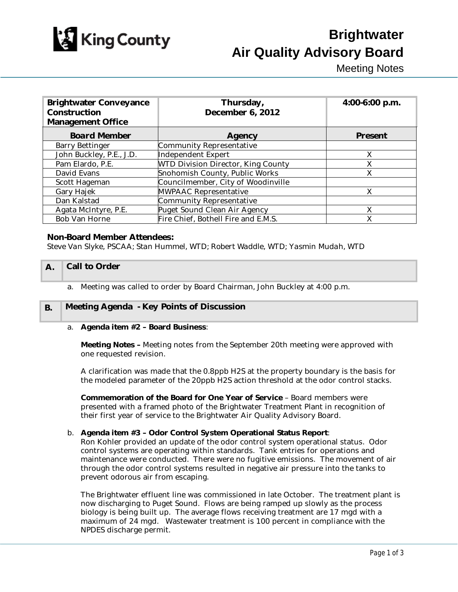

# **Brightwater Air Quality Advisory Board**

Meeting Notes

| <b>Brightwater Conveyance</b><br><b>Construction</b><br><b>Management Office</b> | Thursday,<br><b>December 6, 2012</b>      | 4:00-6:00 p.m. |
|----------------------------------------------------------------------------------|-------------------------------------------|----------------|
| <b>Board Member</b>                                                              | <b>Agency</b>                             | <b>Present</b> |
| <b>Barry Bettinger</b>                                                           | <b>Community Representative</b>           |                |
| John Buckley, P.E., J.D.                                                         | <b>Independent Expert</b>                 | X              |
| Pam Elardo, P.E.                                                                 | <b>WTD Division Director, King County</b> | X              |
| David Evans                                                                      | Snohomish County, Public Works            | X              |
| <b>Scott Hageman</b>                                                             | Councilmember, City of Woodinville        |                |
| <b>Gary Hajek</b>                                                                | <b>MWPAAC Representative</b>              | X              |
| Dan Kalstad                                                                      | <b>Community Representative</b>           |                |
| Agata McIntyre, P.E.                                                             | Puget Sound Clean Air Agency              | X              |
| <b>Bob Van Horne</b>                                                             | Fire Chief, Bothell Fire and E.M.S.       | X              |

# Non-Board Member Attendees:

*Steve Van Slyke, PSCAA; Stan Hummel, WTD; Robert Waddle, WTD; Yasmin Mudah, WTD*

#### A. Call to Order

a. Meeting was called to order by Board Chairman, John Buckley at 4:00 p.m.

# B. Meeting Agenda - Key Points of Discussion

#### a. Agenda item #2 – Board Business:

Meeting Notes – Meeting notes from the September 20th meeting were approved with one requested revision.

A clarification was made that the 0.8ppb H2S at the property boundary is the basis for the modeled parameter of the 20ppb H2S action threshold at the odor control stacks.

Commemoration of the Board for One Year of Service – Board members were presented with a framed photo of the Brightwater Treatment Plant in recognition of their first year of service to the Brightwater Air Quality Advisory Board.

#### b. Agenda item #3 – Odor Control System Operational Status Report:

Ron Kohler provided an update of the odor control system operational status. Odor control systems are operating within standards. Tank entries for operations and maintenance were conducted. There were no fugitive emissions. The movement of air through the odor control systems resulted in negative air pressure into the tanks to prevent odorous air from escaping.

The Brightwater effluent line was commissioned in late October. The treatment plant is now discharging to Puget Sound. Flows are being ramped up slowly as the process biology is being built up. The average flows receiving treatment are 17 mgd with a maximum of 24 mgd. Wastewater treatment is 100 percent in compliance with the NPDES discharge permit.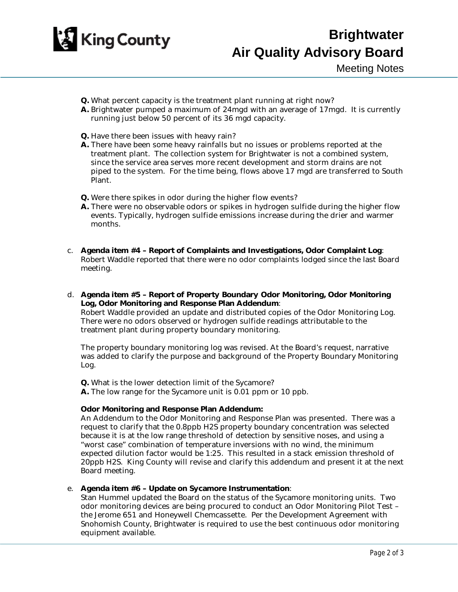

- Q. What percent capacity is the treatment plant running at right now?
- A. Brightwater pumped a maximum of 24mgd with an average of 17mgd. It is currently running just below 50 percent of its 36 mgd capacity.
- Q. Have there been issues with heavy rain?
- A. There have been some heavy rainfalls but no issues or problems reported at the treatment plant. The collection system for Brightwater is not a combined system, since the service area serves more recent development and storm drains are not piped to the system. For the time being, flows above 17 mgd are transferred to South Plant.
- Q. Were there spikes in odor during the higher flow events?
- A. There were no observable odors or spikes in hydrogen sulfide during the higher flow events. Typically, hydrogen sulfide emissions increase during the drier and warmer months.
- c. Agenda item #4 Report of Complaints and Investigations, Odor Complaint Log: Robert Waddle reported that there were no odor complaints lodged since the last Board meeting.
- d. Agenda item #5 Report of Property Boundary Odor Monitoring, Odor Monitoring Log, Odor Monitoring and Response Plan Addendum:

Robert Waddle provided an update and distributed copies of the Odor Monitoring Log. There were no odors observed or hydrogen sulfide readings attributable to the treatment plant during property boundary monitoring.

The property boundary monitoring log was revised. At the Board's request, narrative was added to clarify the purpose and background of the Property Boundary Monitoring Log.

Q. What is the lower detection limit of the Sycamore? A. The low range for the Sycamore unit is 0.01 ppm or 10 ppb.

# Odor Monitoring and Response Plan Addendum:

An Addendum to the Odor Monitoring and Response Plan was presented. There was a request to clarify that the 0.8ppb H2S property boundary concentration was selected because it is at the low range threshold of detection by sensitive noses, and using a "worst case" combination of temperature inversions with no wind, the minimum expected dilution factor would be 1:25. This resulted in a stack emission threshold of 20ppb H2S. King County will revise and clarify this addendum and present it at the next Board meeting.

e. Agenda item #6 – Update on Sycamore Instrumentation:

Stan Hummel updated the Board on the status of the Sycamore monitoring units. Two odor monitoring devices are being procured to conduct an Odor Monitoring Pilot Test – the Jerome 651 and Honeywell Chemcassette. Per the Development Agreement with Snohomish County, Brightwater is required to use the best continuous odor monitoring equipment available.